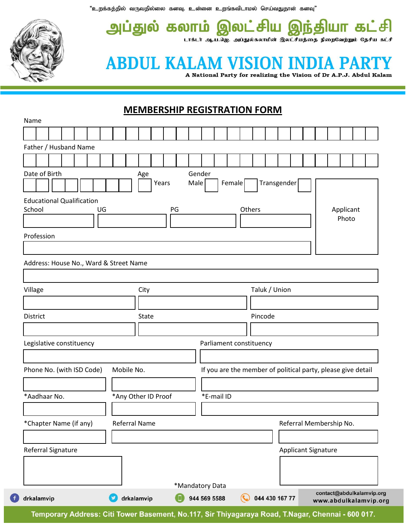"உறக்கத்தில் வருவதில்லை கனவு. உன்னை உறங்கவிடாமல் செய்வதுதான் கனவு"



6

அப்துல் கலாம் இலட்சிய தியா கட்சி  $\Omega$ டாக்டர் ஆ.ப.ஜெ. அப்துல்கலாமின் இலட்சியத்தை நிறைவேற்றும் தேசிய கட்சி

## **ABDUL KALAM VISION INI**

A National Party for realizing the Vision of Dr A.P.J. Abdul Kalam

## **MEMBERSHIP REGISTRATION FORM**

| Name                                   |                                  |  |  |  |  |  |            |  |            |                      |                     |       |                    |                                 |        |  |            |                         |  |                |  |  |               |                                                    |  |  |  |                         |  |                                                              |  |  |
|----------------------------------------|----------------------------------|--|--|--|--|--|------------|--|------------|----------------------|---------------------|-------|--------------------|---------------------------------|--------|--|------------|-------------------------|--|----------------|--|--|---------------|----------------------------------------------------|--|--|--|-------------------------|--|--------------------------------------------------------------|--|--|
|                                        |                                  |  |  |  |  |  |            |  |            |                      |                     |       |                    |                                 |        |  |            |                         |  |                |  |  |               |                                                    |  |  |  |                         |  |                                                              |  |  |
| Father / Husband Name                  |                                  |  |  |  |  |  |            |  |            |                      |                     |       |                    |                                 |        |  |            |                         |  |                |  |  |               |                                                    |  |  |  |                         |  |                                                              |  |  |
|                                        |                                  |  |  |  |  |  |            |  |            |                      |                     |       |                    |                                 |        |  |            |                         |  |                |  |  |               |                                                    |  |  |  |                         |  |                                                              |  |  |
|                                        | Date of Birth                    |  |  |  |  |  |            |  |            | Age                  |                     |       |                    |                                 | Gender |  |            |                         |  |                |  |  |               |                                                    |  |  |  |                         |  |                                                              |  |  |
|                                        |                                  |  |  |  |  |  |            |  |            |                      |                     | Years |                    |                                 | Male   |  |            | Female                  |  |                |  |  |               | Transgender                                        |  |  |  |                         |  |                                                              |  |  |
|                                        | <b>Educational Qualification</b> |  |  |  |  |  |            |  |            |                      |                     |       |                    |                                 |        |  |            |                         |  |                |  |  |               |                                                    |  |  |  |                         |  |                                                              |  |  |
| School<br>PG<br>Others<br>UG           |                                  |  |  |  |  |  |            |  |            |                      |                     |       | Applicant<br>Photo |                                 |        |  |            |                         |  |                |  |  |               |                                                    |  |  |  |                         |  |                                                              |  |  |
|                                        |                                  |  |  |  |  |  |            |  |            |                      |                     |       |                    |                                 |        |  |            |                         |  |                |  |  |               |                                                    |  |  |  |                         |  |                                                              |  |  |
|                                        | Profession                       |  |  |  |  |  |            |  |            |                      |                     |       |                    |                                 |        |  |            |                         |  |                |  |  |               |                                                    |  |  |  |                         |  |                                                              |  |  |
|                                        |                                  |  |  |  |  |  |            |  |            |                      |                     |       |                    |                                 |        |  |            |                         |  |                |  |  |               |                                                    |  |  |  |                         |  |                                                              |  |  |
| Address: House No., Ward & Street Name |                                  |  |  |  |  |  |            |  |            |                      |                     |       |                    |                                 |        |  |            |                         |  |                |  |  |               |                                                    |  |  |  |                         |  |                                                              |  |  |
|                                        |                                  |  |  |  |  |  |            |  |            |                      |                     |       |                    |                                 |        |  |            |                         |  |                |  |  |               |                                                    |  |  |  |                         |  |                                                              |  |  |
| Village                                |                                  |  |  |  |  |  |            |  |            | City                 |                     |       |                    |                                 |        |  |            |                         |  |                |  |  | Taluk / Union |                                                    |  |  |  |                         |  |                                                              |  |  |
|                                        |                                  |  |  |  |  |  |            |  |            |                      |                     |       |                    |                                 |        |  |            |                         |  |                |  |  |               |                                                    |  |  |  |                         |  |                                                              |  |  |
| Pincode<br>District<br><b>State</b>    |                                  |  |  |  |  |  |            |  |            |                      |                     |       |                    |                                 |        |  |            |                         |  |                |  |  |               |                                                    |  |  |  |                         |  |                                                              |  |  |
|                                        |                                  |  |  |  |  |  |            |  |            |                      |                     |       |                    |                                 |        |  |            |                         |  |                |  |  |               |                                                    |  |  |  |                         |  |                                                              |  |  |
|                                        | Legislative constituency         |  |  |  |  |  |            |  |            |                      |                     |       |                    |                                 |        |  |            | Parliament constituency |  |                |  |  |               |                                                    |  |  |  |                         |  |                                                              |  |  |
|                                        |                                  |  |  |  |  |  |            |  |            |                      |                     |       |                    |                                 |        |  |            |                         |  |                |  |  |               |                                                    |  |  |  |                         |  |                                                              |  |  |
| Phone No. (with ISD Code)              |                                  |  |  |  |  |  |            |  | Mobile No. |                      |                     |       |                    |                                 |        |  |            |                         |  |                |  |  |               |                                                    |  |  |  |                         |  | If you are the member of political party, please give detail |  |  |
|                                        |                                  |  |  |  |  |  |            |  |            |                      |                     |       |                    |                                 |        |  |            |                         |  |                |  |  |               |                                                    |  |  |  |                         |  |                                                              |  |  |
|                                        | *Aadhaar No.                     |  |  |  |  |  |            |  |            |                      | *Any Other ID Proof |       |                    |                                 |        |  | *E-mail ID |                         |  |                |  |  |               |                                                    |  |  |  |                         |  |                                                              |  |  |
|                                        |                                  |  |  |  |  |  |            |  |            |                      |                     |       |                    |                                 |        |  |            |                         |  |                |  |  |               |                                                    |  |  |  |                         |  |                                                              |  |  |
|                                        | *Chapter Name (if any)           |  |  |  |  |  |            |  |            | <b>Referral Name</b> |                     |       |                    |                                 |        |  |            |                         |  |                |  |  |               |                                                    |  |  |  | Referral Membership No. |  |                                                              |  |  |
|                                        |                                  |  |  |  |  |  |            |  |            |                      |                     |       |                    |                                 |        |  |            |                         |  |                |  |  |               |                                                    |  |  |  |                         |  |                                                              |  |  |
|                                        |                                  |  |  |  |  |  |            |  |            |                      |                     |       |                    |                                 |        |  |            |                         |  |                |  |  |               |                                                    |  |  |  |                         |  |                                                              |  |  |
| Referral Signature                     |                                  |  |  |  |  |  |            |  |            | Applicant Signature  |                     |       |                    |                                 |        |  |            |                         |  |                |  |  |               |                                                    |  |  |  |                         |  |                                                              |  |  |
|                                        |                                  |  |  |  |  |  |            |  |            |                      |                     |       |                    |                                 |        |  |            |                         |  |                |  |  |               |                                                    |  |  |  |                         |  |                                                              |  |  |
|                                        |                                  |  |  |  |  |  |            |  |            |                      |                     |       |                    |                                 |        |  |            |                         |  |                |  |  |               |                                                    |  |  |  |                         |  |                                                              |  |  |
| drkalamvip                             |                                  |  |  |  |  |  | drkalamvip |  |            |                      |                     |       |                    | *Mandatory Data<br>944 569 5588 |        |  |            |                         |  | 044 430 167 77 |  |  |               | contact@abdulkalamvip.org<br>www.abdulkalamvip.org |  |  |  |                         |  |                                                              |  |  |

Temporary Address: Citi Tower Basement, No.117, Sir Thiyagaraya Road, T.Nagar, Chennai - 600 017.